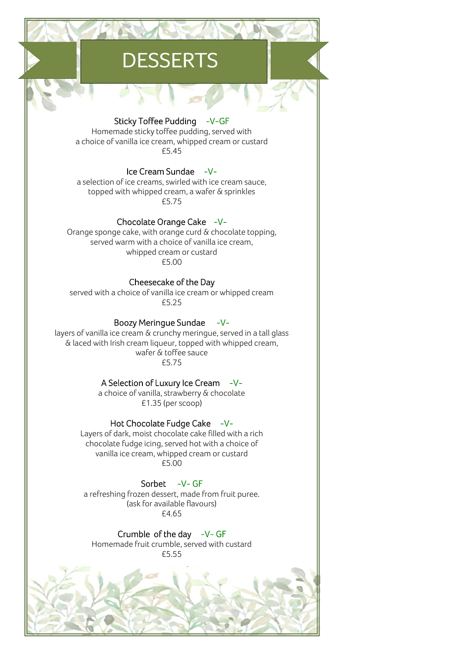## **DESSERTS**

Sticky Toffee Pudding -V-GF Homemade sticky toffee pudding, served with a choice of vanilla ice cream, whipped cream or custard £5.45

Ice Cream Sundae -Va selection of ice creams, swirled with ice cream sauce, topped with whipped cream, a wafer & sprinkles £5.75

Chocolate Orange Cake -V-Orange sponge cake, with orange curd & chocolate topping, served warm with a choice of vanilla ice cream, whipped cream or custard £5.00

Cheesecake of the Day served with a choice of vanilla ice cream or whipped cream £5.25

**Boozy Meringue Sundae**  $-V$ layers of vanilla ice cream & crunchy meringue, served in a tall glass & laced with Irish cream liqueur, topped with whipped cream, wafer & toffee sauce £5.75

> A Selection of Luxury Ice Cream -Va choice of vanilla, strawberry & chocolate £1.35 (per scoop)

Hot Chocolate Fudge Cake -V-Layers of dark, moist chocolate cake filled with a rich chocolate fudge icing, served hot with a choice of vanilla ice cream, whipped cream or custard £5.00

Sorbet -V-GF a refreshing frozen dessert, made from fruit puree. (ask for available flavours) £4.65

Crumble of the day -V-GF Homemade fruit crumble, served with custard £5.55